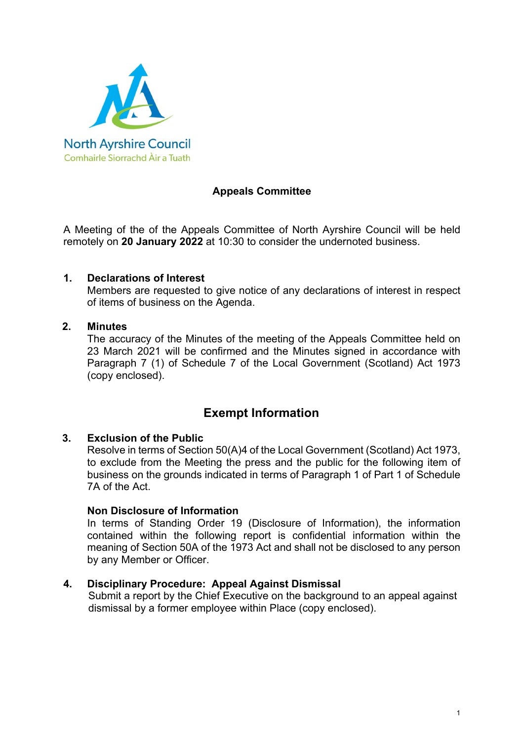

## **Appeals Committee**

A Meeting of the of the Appeals Committee of North Ayrshire Council will be held remotely on **20 January 2022** at 10:30 to consider the undernoted business.

## **1. Declarations of Interest**

Members are requested to give notice of any declarations of interest in respect of items of business on the Agenda.

#### **2. Minutes**

The accuracy of the Minutes of the meeting of the Appeals Committee held on 23 March 2021 will be confirmed and the Minutes signed in accordance with Paragraph 7 (1) of Schedule 7 of the Local Government (Scotland) Act 1973 (copy enclosed).

# **Exempt Information**

## **3. Exclusion of the Public**

Resolve in terms of Section 50(A)4 of the Local Government (Scotland) Act 1973, to exclude from the Meeting the press and the public for the following item of business on the grounds indicated in terms of Paragraph 1 of Part 1 of Schedule 7A of the Act.

## **Non Disclosure of Information**

In terms of Standing Order 19 (Disclosure of Information), the information contained within the following report is confidential information within the meaning of Section 50A of the 1973 Act and shall not be disclosed to any person by any Member or Officer.

## **4. Disciplinary Procedure: Appeal Against Dismissal**

Submit a report by the Chief Executive on the background to an appeal against dismissal by a former employee within Place (copy enclosed).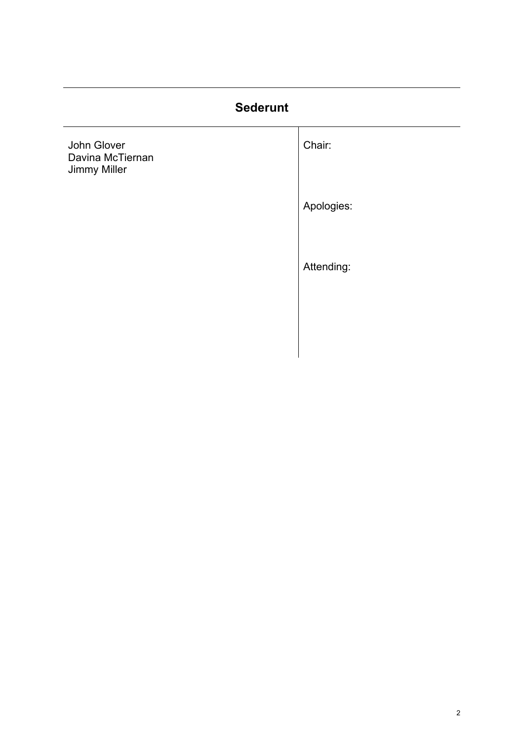# **Sederunt**

| John Glover<br>Davina McTiernan<br>Jimmy Miller | Chair:     |
|-------------------------------------------------|------------|
|                                                 | Apologies: |
|                                                 | Attending: |
|                                                 |            |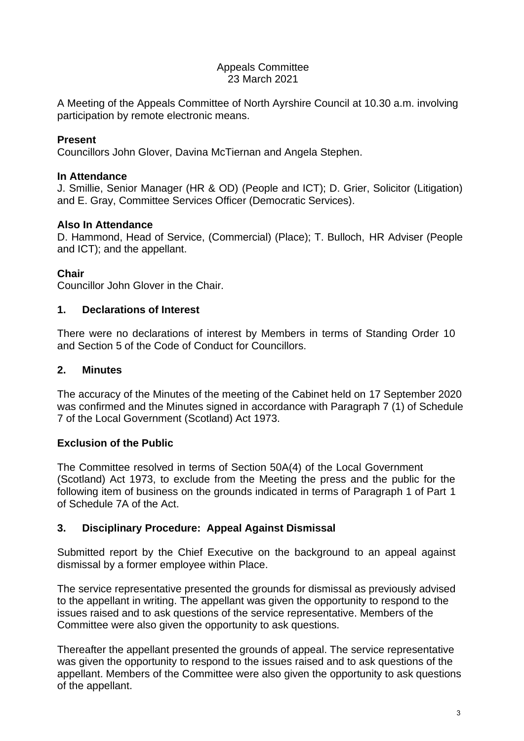#### Appeals Committee 23 March 2021

A Meeting of the Appeals Committee of North Ayrshire Council at 10.30 a.m. involving participation by remote electronic means.

## **Present**

Councillors John Glover, Davina McTiernan and Angela Stephen.

## **In Attendance**

J. Smillie, Senior Manager (HR & OD) (People and ICT); D. Grier, Solicitor (Litigation) and E. Gray, Committee Services Officer (Democratic Services).

## **Also In Attendance**

D. Hammond, Head of Service, (Commercial) (Place); T. Bulloch, HR Adviser (People and ICT); and the appellant.

## **Chair**

Councillor John Glover in the Chair.

## **1. Declarations of Interest**

There were no declarations of interest by Members in terms of Standing Order 10 and Section 5 of the Code of Conduct for Councillors.

## **2. Minutes**

The accuracy of the Minutes of the meeting of the Cabinet held on 17 September 2020 was confirmed and the Minutes signed in accordance with Paragraph 7 (1) of Schedule 7 of the Local Government (Scotland) Act 1973.

## **Exclusion of the Public**

The Committee resolved in terms of Section 50A(4) of the Local Government (Scotland) Act 1973, to exclude from the Meeting the press and the public for the following item of business on the grounds indicated in terms of Paragraph 1 of Part 1 of Schedule 7A of the Act.

## **3. Disciplinary Procedure: Appeal Against Dismissal**

Submitted report by the Chief Executive on the background to an appeal against dismissal by a former employee within Place.

The service representative presented the grounds for dismissal as previously advised to the appellant in writing. The appellant was given the opportunity to respond to the issues raised and to ask questions of the service representative. Members of the Committee were also given the opportunity to ask questions.

Thereafter the appellant presented the grounds of appeal. The service representative was given the opportunity to respond to the issues raised and to ask questions of the appellant. Members of the Committee were also given the opportunity to ask questions of the appellant.